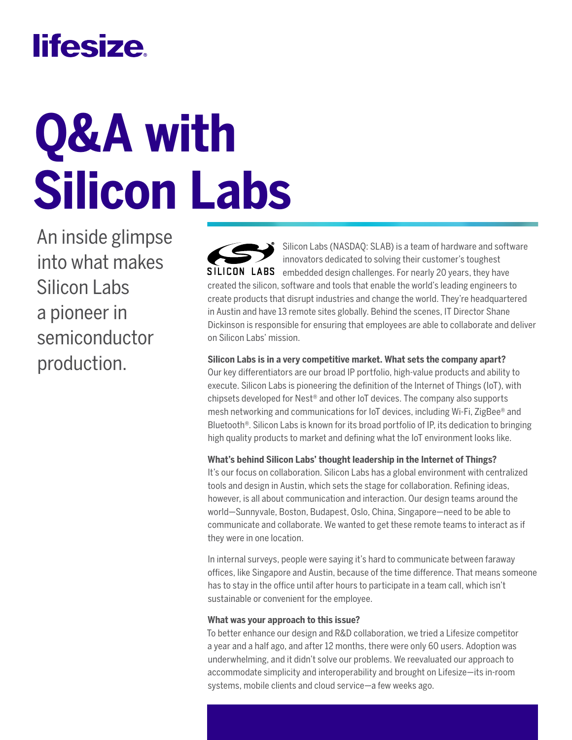## **lifesize**

# **Q&A with Silicon Labs**

An inside glimpse into what makes Silicon Labs a pioneer in semiconductor production.

Silicon Labs (NASDAQ: SLAB) is a team of hardware and software innovators dedicated to solving their customer's toughest SILICON LABS embedded design challenges. For nearly 20 years, they have created the silicon, software and tools that enable the world's leading engineers to create products that disrupt industries and change the world. They're headquartered in Austin and have 13 remote sites globally. Behind the scenes, IT Director Shane Dickinson is responsible for ensuring that employees are able to collaborate and deliver on Silicon Labs' mission.

#### **Silicon Labs is in a very competitive market. What sets the company apart?**

Our key differentiators are our broad IP portfolio, high-value products and ability to execute. Silicon Labs is pioneering the definition of the Internet of Things (IoT), with chipsets developed for Nest® and other IoT devices. The company also supports mesh networking and communications for IoT devices, including Wi-Fi, ZigBee® and Bluetooth®. Silicon Labs is known for its broad portfolio of IP, its dedication to bringing high quality products to market and defining what the IoT environment looks like.

#### **What's behind Silicon Labs' thought leadership in the Internet of Things?**

It's our focus on collaboration. Silicon Labs has a global environment with centralized tools and design in Austin, which sets the stage for collaboration. Refining ideas, however, is all about communication and interaction. Our design teams around the world—Sunnyvale, Boston, Budapest, Oslo, China, Singapore—need to be able to communicate and collaborate. We wanted to get these remote teams to interact as if they were in one location.

In internal surveys, people were saying it's hard to communicate between faraway offices, like Singapore and Austin, because of the time difference. That means someone has to stay in the office until after hours to participate in a team call, which isn't sustainable or convenient for the employee.

#### **What was your approach to this issue?**

To better enhance our design and R&D collaboration, we tried a Lifesize competitor a year and a half ago, and after 12 months, there were only 60 users. Adoption was underwhelming, and it didn't solve our problems. We reevaluated our approach to accommodate simplicity and interoperability and brought on Lifesize—its in-room systems, mobile clients and cloud service—a few weeks ago.